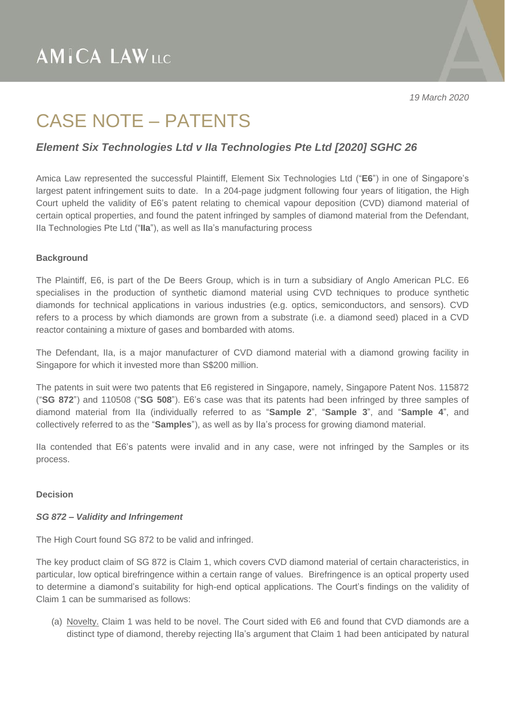### CASE NOTE – PATENTS

### *Element Six Technologies Ltd v IIa Technologies Pte Ltd [2020] SGHC 26*

Amica Law represented the successful Plaintiff, Element Six Technologies Ltd ("**E6**") in one of Singapore's largest patent infringement suits to date. In a 204-page judgment following four years of litigation, the High Court upheld the validity of E6's patent relating to chemical vapour deposition (CVD) diamond material of certain optical properties, and found the patent infringed by samples of diamond material from the Defendant, IIa Technologies Pte Ltd ("**IIa**"), as well as IIa's manufacturing process

### **Background**

The Plaintiff, E6, is part of the De Beers Group, which is in turn a subsidiary of Anglo American PLC. E6 specialises in the production of synthetic diamond material using CVD techniques to produce synthetic diamonds for technical applications in various industries (e.g. optics, semiconductors, and sensors). CVD refers to a process by which diamonds are grown from a substrate (i.e. a diamond seed) placed in a CVD reactor containing a mixture of gases and bombarded with atoms.

The Defendant, IIa, is a major manufacturer of CVD diamond material with a diamond growing facility in Singapore for which it invested more than S\$200 million.

The patents in suit were two patents that E6 registered in Singapore, namely, Singapore Patent Nos. 115872 ("**SG 872**") and 110508 ("**SG 508**"). E6's case was that its patents had been infringed by three samples of diamond material from IIa (individually referred to as "**Sample 2**", "**Sample 3**", and "**Sample 4**", and collectively referred to as the "**Samples**"), as well as by IIa's process for growing diamond material.

IIa contended that E6's patents were invalid and in any case, were not infringed by the Samples or its process.

#### **Decision**

### *SG 872 – Validity and Infringement*

The High Court found SG 872 to be valid and infringed.

The key product claim of SG 872 is Claim 1, which covers CVD diamond material of certain characteristics, in particular, low optical birefringence within a certain range of values. Birefringence is an optical property used to determine a diamond's suitability for high-end optical applications. The Court's findings on the validity of Claim 1 can be summarised as follows:

(a) Novelty. Claim 1 was held to be novel. The Court sided with E6 and found that CVD diamonds are a distinct type of diamond, thereby rejecting IIa's argument that Claim 1 had been anticipated by natural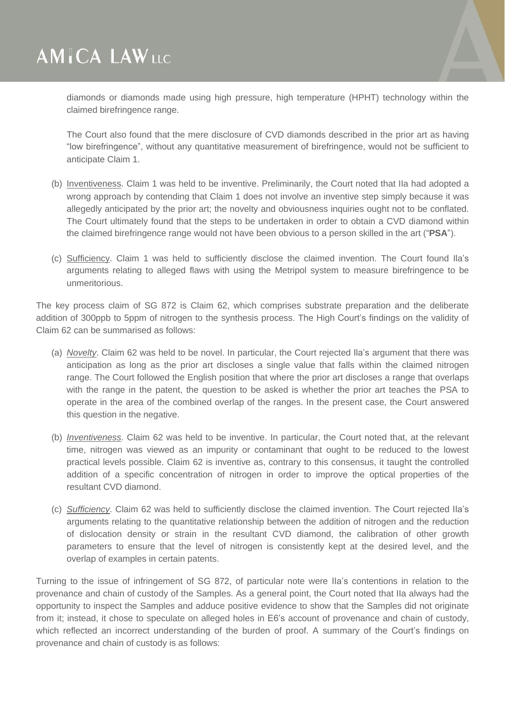diamonds or diamonds made using high pressure, high temperature (HPHT) technology within the claimed birefringence range.

The Court also found that the mere disclosure of CVD diamonds described in the prior art as having "low birefringence", without any quantitative measurement of birefringence, would not be sufficient to anticipate Claim 1.

- (b) Inventiveness. Claim 1 was held to be inventive. Preliminarily, the Court noted that IIa had adopted a wrong approach by contending that Claim 1 does not involve an inventive step simply because it was allegedly anticipated by the prior art; the novelty and obviousness inquiries ought not to be conflated. The Court ultimately found that the steps to be undertaken in order to obtain a CVD diamond within the claimed birefringence range would not have been obvious to a person skilled in the art ("**PSA**").
- (c) Sufficiency. Claim 1 was held to sufficiently disclose the claimed invention. The Court found Ila's arguments relating to alleged flaws with using the Metripol system to measure birefringence to be unmeritorious.

The key process claim of SG 872 is Claim 62, which comprises substrate preparation and the deliberate addition of 300ppb to 5ppm of nitrogen to the synthesis process. The High Court's findings on the validity of Claim 62 can be summarised as follows:

- (a) *Novelty*. Claim 62 was held to be novel. In particular, the Court rejected Ila's argument that there was anticipation as long as the prior art discloses a single value that falls within the claimed nitrogen range. The Court followed the English position that where the prior art discloses a range that overlaps with the range in the patent, the question to be asked is whether the prior art teaches the PSA to operate in the area of the combined overlap of the ranges. In the present case, the Court answered this question in the negative.
- (b) *Inventiveness*. Claim 62 was held to be inventive. In particular, the Court noted that, at the relevant time, nitrogen was viewed as an impurity or contaminant that ought to be reduced to the lowest practical levels possible. Claim 62 is inventive as, contrary to this consensus, it taught the controlled addition of a specific concentration of nitrogen in order to improve the optical properties of the resultant CVD diamond.
- (c) *Sufficiency*. Claim 62 was held to sufficiently disclose the claimed invention. The Court rejected IIa's arguments relating to the quantitative relationship between the addition of nitrogen and the reduction of dislocation density or strain in the resultant CVD diamond, the calibration of other growth parameters to ensure that the level of nitrogen is consistently kept at the desired level, and the overlap of examples in certain patents.

Turning to the issue of infringement of SG 872, of particular note were IIa's contentions in relation to the provenance and chain of custody of the Samples. As a general point, the Court noted that IIa always had the opportunity to inspect the Samples and adduce positive evidence to show that the Samples did not originate from it; instead, it chose to speculate on alleged holes in E6's account of provenance and chain of custody, which reflected an incorrect understanding of the burden of proof. A summary of the Court's findings on provenance and chain of custody is as follows: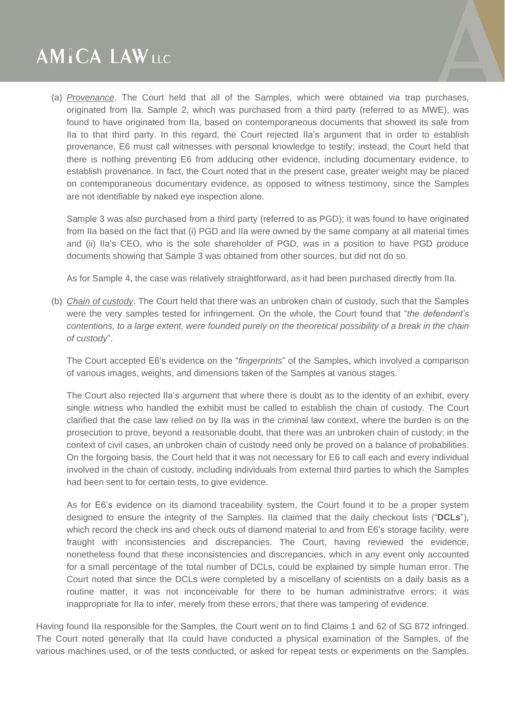(a) *Provenance*. The Court held that all of the Samples, which were obtained via trap purchases, originated from IIa. Sample 2, which was purchased from a third party (referred to as MWE), was found to have originated from IIa, based on contemporaneous documents that showed its sale from IIa to that third party. In this regard, the Court rejected IIa's argument that in order to establish provenance, E6 must call witnesses with personal knowledge to testify; instead, the Court held that there is nothing preventing E6 from adducing other evidence, including documentary evidence, to establish provenance. In fact, the Court noted that in the present case, greater weight may be placed on contemporaneous documentary evidence, as opposed to witness testimony, since the Samples are not identifiable by naked eye inspection alone.

Sample 3 was also purchased from a third party (referred to as PGD); it was found to have originated from IIa based on the fact that (i) PGD and IIa were owned by the same company at all material times and (ii) IIa's CEO, who is the sole shareholder of PGD, was in a position to have PGD produce documents showing that Sample 3 was obtained from other sources, but did not do so.

As for Sample 4, the case was relatively straightforward, as it had been purchased directly from IIa.

(b) *Chain of custody*. The Court held that there was an unbroken chain of custody, such that the Samples were the very samples tested for infringement. On the whole, the Court found that "*the defendant's* contentions, to a large extent, were founded purely on the theoretical possibility of a break in the chain *of custody*".

The Court accepted E6's evidence on the "*fingerprints*" of the Samples, which involved a comparison of various images, weights, and dimensions taken of the Samples at various stages.

The Court also rejected IIa's argument that where there is doubt as to the identity of an exhibit, every single witness who handled the exhibit must be called to establish the chain of custody. The Court clarified that the case law relied on by IIa was in the criminal law context, where the burden is on the prosecution to prove, beyond a reasonable doubt, that there was an unbroken chain of custody; in the context of civil cases, an unbroken chain of custody need only be proved on a balance of probabilities. On the forgoing basis, the Court held that it was not necessary for E6 to call each and every individual involved in the chain of custody, including individuals from external third parties to which the Samples had been sent to for certain tests, to give evidence.

As for E6's evidence on its diamond traceability system, the Court found it to be a proper system designed to ensure the integrity of the Samples. IIa claimed that the daily checkout lists ("**DCLs**"), which record the check ins and check outs of diamond material to and from E6's storage facility, were fraught with inconsistencies and discrepancies. The Court, having reviewed the evidence, nonetheless found that these inconsistencies and discrepancies, which in any event only accounted for a small percentage of the total number of DCLs, could be explained by simple human error. The Court noted that since the DCLs were completed by a miscellany of scientists on a daily basis as a routine matter, it was not inconceivable for there to be human administrative errors; it was inappropriate for IIa to infer, merely from these errors, that there was tampering of evidence.

Having found IIa responsible for the Samples, the Court went on to find Claims 1 and 62 of SG 872 infringed. The Court noted generally that IIa could have conducted a physical examination of the Samples, of the various machines used, or of the tests conducted, or asked for repeat tests or experiments on the Samples.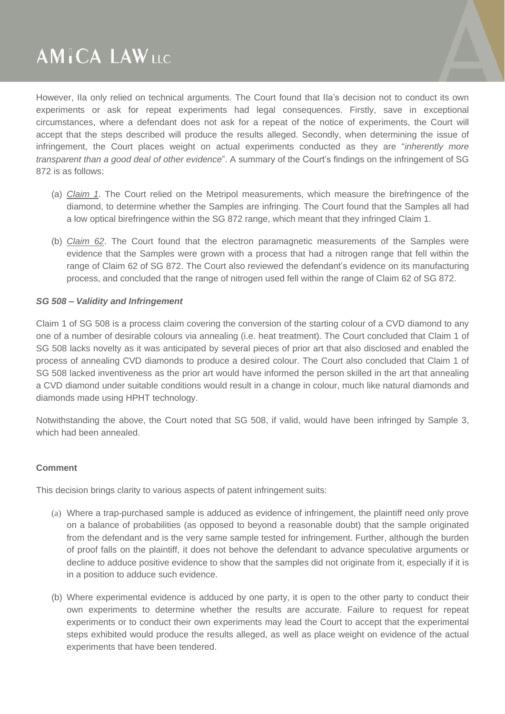However, IIa only relied on technical arguments. The Court found that IIa's decision not to conduct its own experiments or ask for repeat experiments had legal consequences. Firstly, save in exceptional circumstances, where a defendant does not ask for a repeat of the notice of experiments, the Court will accept that the steps described will produce the results alleged. Secondly, when determining the issue of infringement, the Court places weight on actual experiments conducted as they are "*inherently more transparent than a good deal of other evidence*". A summary of the Court's findings on the infringement of SG 872 is as follows:

- (a) *Claim 1*. The Court relied on the Metripol measurements, which measure the birefringence of the diamond, to determine whether the Samples are infringing. The Court found that the Samples all had a low optical birefringence within the SG 872 range, which meant that they infringed Claim 1.
- (b) *Claim 62*. The Court found that the electron paramagnetic measurements of the Samples were evidence that the Samples were grown with a process that had a nitrogen range that fell within the range of Claim 62 of SG 872. The Court also reviewed the defendant's evidence on its manufacturing process, and concluded that the range of nitrogen used fell within the range of Claim 62 of SG 872.

### *SG 508 – Validity and Infringement*

Claim 1 of SG 508 is a process claim covering the conversion of the starting colour of a CVD diamond to any one of a number of desirable colours via annealing (i.e. heat treatment). The Court concluded that Claim 1 of SG 508 lacks novelty as it was anticipated by several pieces of prior art that also disclosed and enabled the process of annealing CVD diamonds to produce a desired colour. The Court also concluded that Claim 1 of SG 508 lacked inventiveness as the prior art would have informed the person skilled in the art that annealing a CVD diamond under suitable conditions would result in a change in colour, much like natural diamonds and diamonds made using HPHT technology.

Notwithstanding the above, the Court noted that SG 508, if valid, would have been infringed by Sample 3, which had been annealed.

### **Comment**

This decision brings clarity to various aspects of patent infringement suits:

- (a) Where a trap-purchased sample is adduced as evidence of infringement, the plaintiff need only prove on a balance of probabilities (as opposed to beyond a reasonable doubt) that the sample originated from the defendant and is the very same sample tested for infringement. Further, although the burden of proof falls on the plaintiff, it does not behove the defendant to advance speculative arguments or decline to adduce positive evidence to show that the samples did not originate from it, especially if it is in a position to adduce such evidence.
- (b) Where experimental evidence is adduced by one party, it is open to the other party to conduct their own experiments to determine whether the results are accurate. Failure to request for repeat experiments or to conduct their own experiments may lead the Court to accept that the experimental steps exhibited would produce the results alleged, as well as place weight on evidence of the actual experiments that have been tendered.